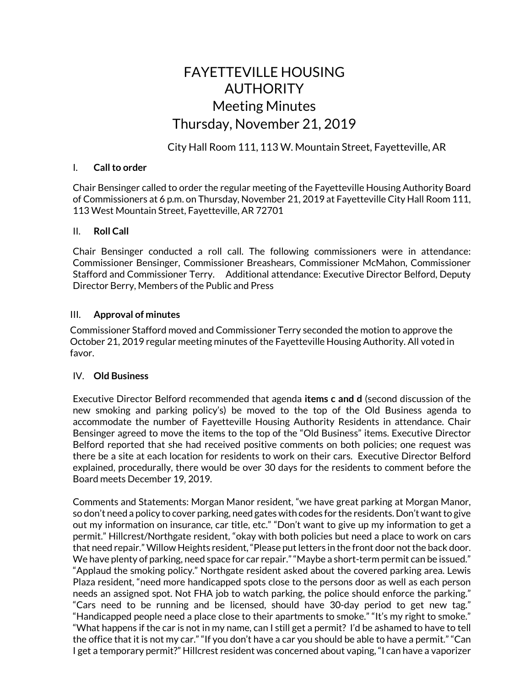# FAYETTEVILLE HOUSING AUTHORITY Meeting Minutes Thursday, November 21, 2019

City Hall Room 111, 113 W. Mountain Street, Fayetteville, AR

#### I. **Call to order**

Chair Bensinger called to order the regular meeting of the Fayetteville Housing Authority Board of Commissioners at 6 p.m. on Thursday, November 21, 2019 at Fayetteville City Hall Room 111, 113 West Mountain Street, Fayetteville, AR 72701

## II. **Roll Call**

Chair Bensinger conducted a roll call. The following commissioners were in attendance: Commissioner Bensinger, Commissioner Breashears, Commissioner McMahon, Commissioner Stafford and Commissioner Terry. Additional attendance: Executive Director Belford, Deputy Director Berry, Members of the Public and Press

#### III. **Approval of minutes**

Commissioner Stafford moved and Commissioner Terry seconded the motion to approve the October 21, 2019 regular meeting minutes of the Fayetteville Housing Authority. All voted in favor.

## IV. **Old Business**

Executive Director Belford recommended that agenda **items c and d** (second discussion of the new smoking and parking policy's) be moved to the top of the Old Business agenda to accommodate the number of Fayetteville Housing Authority Residents in attendance. Chair Bensinger agreed to move the items to the top of the "Old Business" items. Executive Director Belford reported that she had received positive comments on both policies; one request was there be a site at each location for residents to work on their cars. Executive Director Belford explained, procedurally, there would be over 30 days for the residents to comment before the Board meets December 19, 2019.

Comments and Statements: Morgan Manor resident, "we have great parking at Morgan Manor, so don't need a policy to cover parking, need gates with codes for the residents. Don't want to give out my information on insurance, car title, etc." "Don't want to give up my information to get a permit." Hillcrest/Northgate resident, "okay with both policies but need a place to work on cars that need repair." Willow Heights resident,"Please put letters in the front door not the back door. We have plenty of parking, need space for car repair." "Maybe a short-term permit can be issued." "Applaud the smoking policy." Northgate resident asked about the covered parking area. Lewis Plaza resident, "need more handicapped spots close to the persons door as well as each person needs an assigned spot. Not FHA job to watch parking, the police should enforce the parking." "Cars need to be running and be licensed, should have 30-day period to get new tag." "Handicapped people need a place close to their apartments to smoke." "It's my right to smoke." "What happens if the car is not in my name, can I still get a permit? I'd be ashamed to have to tell the office that it is not my car." "If you don't have a car you should be able to have a permit." "Can I get a temporary permit?" Hillcrest resident was concerned about vaping, "I can have a vaporizer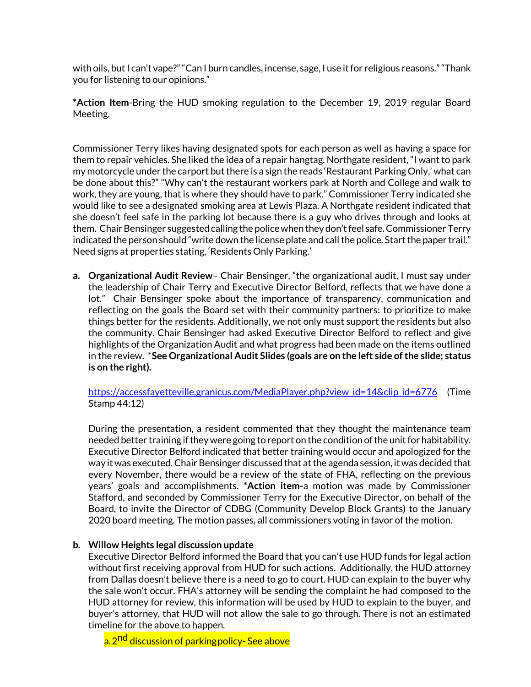with oils, but I can't vape?" "Can I burn candles, incense, sage, I use it for religious reasons." "Thank you for listening to our opinions."

**\*Action Item**-Bring the HUD smoking regulation to the December 19, 2019 regular Board Meeting.

Commissioner Terry likes having designated spots for each person as well as having a space for them to repair vehicles. She liked the idea of a repair hangtag. Northgate resident, "I want to park my motorcycle under the carport but there is a sign the reads 'Restaurant Parking Only,' what can be done about this?" "Why can't the restaurant workers park at North and College and walk to work, they are young, that is where they should have to park." Commissioner Terry indicated she would like to see a designated smoking area at Lewis Plaza. A Northgate resident indicated that she doesn't feel safe in the parking lot because there is a guy who drives through and looks at them. Chair Bensinger suggested calling the policewhen they don't feel safe. Commissioner Terry indicated the person should "write down the license plate and call the police. Start the paper trail." Need signs at properties stating, 'Residents Only Parking.'

**a. Organizational Audit Review**– Chair Bensinger, "the organizational audit, I must say under the leadership of Chair Terry and Executive Director Belford, reflects that we have done a lot." Chair Bensinger spoke about the importance of transparency, communication and reflecting on the goals the Board set with their community partners: to prioritize to make things better for the residents. Additionally, we not only must support the residents but also the community. Chair Bensinger had asked Executive Director Belford to reflect and give highlights of the Organization Audit and what progress had been made on the items outlined in the review. \***See Organizational Audit Slides (goals are on the left side of the slide; status is on the right).**

[https://accessfayetteville.granicus.com/MediaPlayer.php?view\\_id=14&clip\\_id=6776](https://accessfayetteville.granicus.com/MediaPlayer.php?view_id=14&clip_id=6776) (Time Stamp 44:12)

During the presentation, a resident commented that they thought the maintenance team needed better training if they were going to report on the condition of the unit for habitability. Executive Director Belford indicated that better training would occur and apologized for the way it was executed. Chair Bensinger discussed that at the agenda session, it was decided that every November, there would be a review of the state of FHA, reflecting on the previous years' goals and accomplishments. **\*Action item-**a motion was made by Commissioner Stafford, and seconded by Commissioner Terry for the Executive Director, on behalf of the Board, to invite the Director of CDBG (Community Develop Block Grants) to the January 2020 board meeting. The motion passes, all commissioners voting in favor of the motion.

## **b. Willow Heights legal discussion update**

Executive Director Belford informed the Board that you can't use HUD funds for legal action without first receiving approval from HUD for such actions. Additionally, the HUD attorney from Dallas doesn't believe there is a need to go to court. HUD can explain to the buyer why the sale won't occur. FHA's attorney will be sending the complaint he had composed to the HUD attorney for review, this information will be used by HUD to explain to the buyer, and buyer's attorney, that HUD will not allow the sale to go through. There is not an estimated timeline for the above to happen.

a.2<sup>nd</sup> discussion of parkingpolicy- See above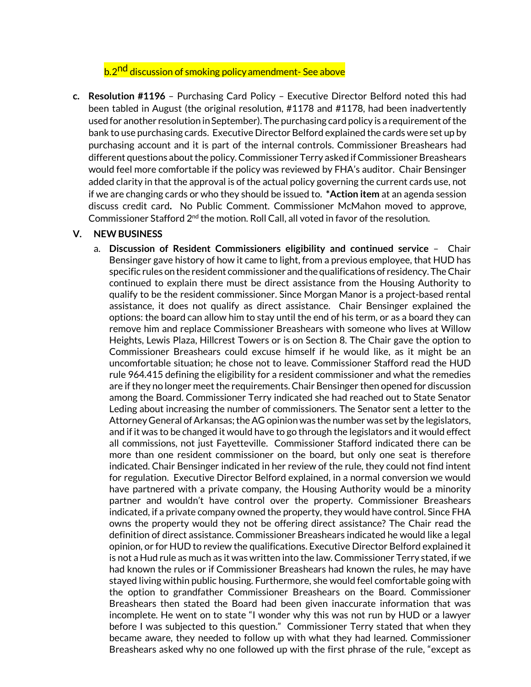# b.2<sup>nd</sup> discussion of smoking policy amendment- See above

**c. Resolution #1196** – Purchasing Card Policy – Executive Director Belford noted this had been tabled in August (the original resolution, #1178 and #1178, had been inadvertently used for another resolution inSeptember). The purchasing card policy is a requirement ofthe bank to use purchasing cards. Executive Director Belford explained the cards were set up by purchasing account and it is part of the internal controls. Commissioner Breashears had different questions about the policy. Commissioner Terry asked if Commissioner Breashears would feel more comfortable if the policy was reviewed by FHA's auditor. Chair Bensinger added clarity in that the approval is of the actual policy governing the current cards use, not if we are changing cards or who they should be issued to. **\*Action item** at an agenda session discuss credit card**.** No Public Comment. Commissioner McMahon moved to approve, Commissioner Stafford  $2^{nd}$  the motion. Roll Call, all voted in favor of the resolution.

#### **V. NEW BUSINESS**

a. **Discussion of Resident Commissioners eligibility and continued service** – Chair Bensinger gave history of how it came to light, from a previous employee, that HUD has specific rules on the resident commissioner and the qualifications of residency. The Chair continued to explain there must be direct assistance from the Housing Authority to qualify to be the resident commissioner. Since Morgan Manor is a project-based rental assistance, it does not qualify as direct assistance. Chair Bensinger explained the options: the board can allow him to stay until the end of his term, or as a board they can remove him and replace Commissioner Breashears with someone who lives at Willow Heights, Lewis Plaza, Hillcrest Towers or is on Section 8. The Chair gave the option to Commissioner Breashears could excuse himself if he would like, as it might be an uncomfortable situation; he chose not to leave. Commissioner Stafford read the HUD rule 964.415 defining the eligibility for a resident commissioner and what the remedies are if they no longer meet the requirements. Chair Bensinger then opened for discussion among the Board. Commissioner Terry indicated she had reached out to State Senator Leding about increasing the number of commissioners. The Senator sent a letter to the Attorney General of Arkansas; the AG opinion was the number was set by the legislators, and if it was to be changed it would have to go through the legislators and it would effect all commissions, not just Fayetteville. Commissioner Stafford indicated there can be more than one resident commissioner on the board, but only one seat is therefore indicated. Chair Bensinger indicated in her review of the rule, they could not find intent for regulation. Executive Director Belford explained, in a normal conversion we would have partnered with a private company, the Housing Authority would be a minority partner and wouldn't have control over the property. Commissioner Breashears indicated, if a private company owned the property, they would have control. Since FHA owns the property would they not be offering direct assistance? The Chair read the definition of direct assistance. Commissioner Breashears indicated he would like a legal opinion, or for HUD to review the qualifications. Executive Director Belford explained it is not a Hud rule as much as it was written into the law. Commissioner Terry stated, if we had known the rules or if Commissioner Breashears had known the rules, he may have stayed living within public housing. Furthermore, she would feel comfortable going with the option to grandfather Commissioner Breashears on the Board. Commissioner Breashears then stated the Board had been given inaccurate information that was incomplete. He went on to state "I wonder why this was not run by HUD or a lawyer before I was subjected to this question." Commissioner Terry stated that when they became aware, they needed to follow up with what they had learned. Commissioner Breashears asked why no one followed up with the first phrase of the rule, "except as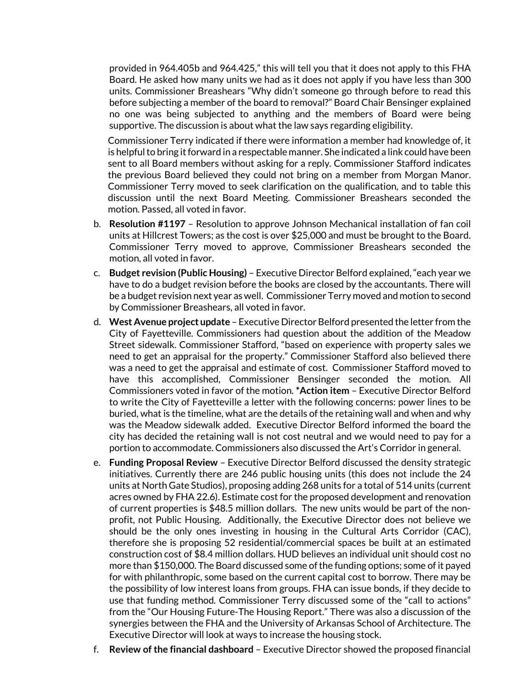provided in 964.405b and 964.425," this will tell you that it does not apply to this FHA Board. He asked how many units we had as it does not apply if you have less than 300 units. Commissioner Breashears "Why didn't someone go through before to read this before subjecting a member of the board to removal?" Board Chair Bensinger explained no one was being subjected to anything and the members of Board were being supportive. The discussion is about what the law says regarding eligibility.

Commissioner Terry indicated if there were information a member had knowledge of, it is helpful to bring it forward in a respectable manner. She indicated a link could have been sent to all Board members without asking for a reply. Commissioner Stafford indicates the previous Board believed they could not bring on a member from Morgan Manor. Commissioner Terry moved to seek clarification on the qualification, and to table this discussion until the next Board Meeting. Commissioner Breashears seconded the motion. Passed, all voted in favor.

- b. **Resolution #1197** Resolution to approve Johnson Mechanical installation of fan coil units at Hillcrest Towers; as the cost is over \$25,000 and must be brought to the Board. Commissioner Terry moved to approve, Commissioner Breashears seconded the motion, all voted in favor.
- c. **Budget revision (Public Housing)**  Executive Director Belford explained,"each year we have to do a budget revision before the books are closed by the accountants. There will be a budget revision next year as well. Commissioner Terry moved and motion to second by Commissioner Breashears, all voted in favor.
- d. **West Avenue project update** Executive DirectorBelford presented the letter from the City of Fayetteville. Commissioners had question about the addition of the Meadow Street sidewalk. Commissioner Stafford, "based on experience with property sales we need to get an appraisal for the property." Commissioner Stafford also believed there was a need to get the appraisal and estimate of cost. Commissioner Stafford moved to have this accomplished, Commissioner Bensinger seconded the motion. All Commissioners voted in favor of the motion. **\*Action item** – Executive Director Belford to write the City of Fayetteville a letter with the following concerns: power lines to be buried, what is the timeline, what are the details of the retaining wall and when and why was the Meadow sidewalk added. Executive Director Belford informed the board the city has decided the retaining wall is not cost neutral and we would need to pay for a portion to accommodate. Commissioners also discussed the Art's Corridor in general.
- e. **Funding Proposal Review** Executive Director Belford discussed the density strategic initiatives. Currently there are 246 public housing units (this does not include the 24 units at North Gate Studios), proposing adding 268 units for a total of 514 units (current acres owned by FHA 22.6). Estimate cost for the proposed development and renovation of current properties is \$48.5 million dollars. The new units would be part of the nonprofit, not Public Housing. Additionally, the Executive Director does not believe we should be the only ones investing in housing in the Cultural Arts Corridor (CAC), therefore she is proposing 52 residential/commercial spaces be built at an estimated construction cost of \$8.4 million dollars. HUD believes an individual unit should cost no more than \$150,000. The Board discussed some of the funding options; some of it payed for with philanthropic, some based on the current capital cost to borrow. There may be the possibility of low interest loans from groups. FHA can issue bonds, if they decide to use that funding method. Commissioner Terry discussed some of the "call to actions" from the "Our Housing Future-The Housing Report." There was also a discussion of the synergies between the FHA and the University of Arkansas School of Architecture. The Executive Director will look at ways to increase the housing stock.
- f. **Review of the financial dashboard** Executive Director showed the proposed financial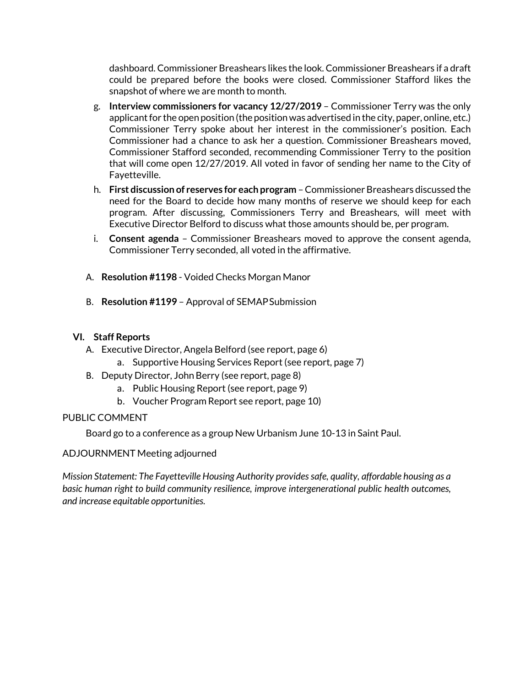dashboard. Commissioner Breashears likes the look. Commissioner Breashears if a draft could be prepared before the books were closed. Commissioner Stafford likes the snapshot of where we are month to month.

- g. **Interview commissioners for vacancy 12/27/2019**  Commissioner Terry was the only applicant for the open position (the position was advertised in the city, paper, online, etc.) Commissioner Terry spoke about her interest in the commissioner's position. Each Commissioner had a chance to ask her a question. Commissioner Breashears moved, Commissioner Stafford seconded, recommending Commissioner Terry to the position that will come open 12/27/2019. All voted in favor of sending her name to the City of Fayetteville.
- h. **First discussion of reserves for each program** –Commissioner Breashears discussed the need for the Board to decide how many months of reserve we should keep for each program. After discussing, Commissioners Terry and Breashears, will meet with Executive Director Belford to discuss what those amounts should be, per program.
- i. **Consent agenda** Commissioner Breashears moved to approve the consent agenda, Commissioner Terry seconded, all voted in the affirmative.
- A. **Resolution #1198** Voided Checks Morgan Manor
- B. **Resolution #1199** Approval of SEMAPSubmission

# **VI. Staff Reports**

- A. Executive Director, Angela Belford (see report, page 6)
	- a. Supportive Housing Services Report (see report, page 7)
- B. Deputy Director, John Berry (see report, page 8)
	- a. Public Housing Report(see report, page 9)
	- b. Voucher Program Report see report, page 10)

# PUBLIC COMMENT

Board go to a conference as a group New Urbanism June 10-13 in Saint Paul.

## ADJOURNMENT Meeting adjourned

*Mission Statement: The Fayetteville Housing Authority provides safe, quality, affordable housing as a basic human right to build community resilience, improve intergenerational public health outcomes, and increase equitable opportunities.*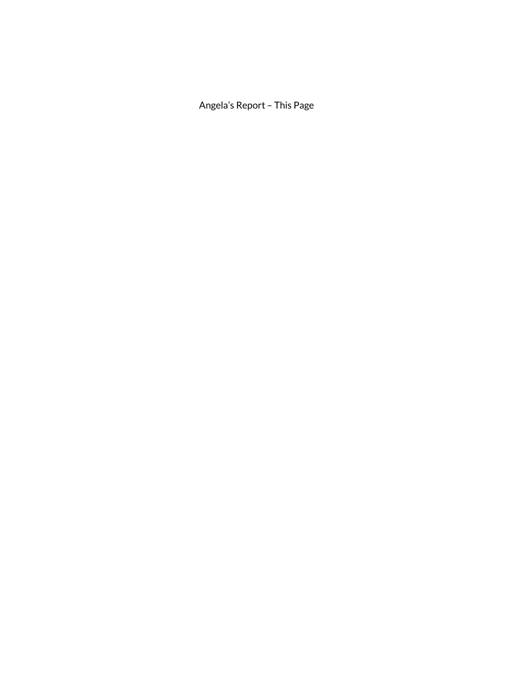Angela's Report – This Page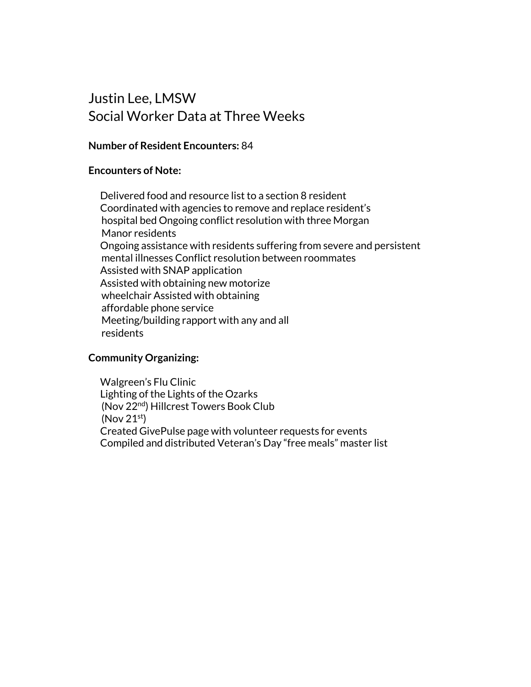# Justin Lee, LMSW Social Worker Data at Three Weeks

# **Number of Resident Encounters:** 84

# **Encounters of Note:**

Delivered food and resource list to a section 8 resident Coordinated with agencies to remove and replace resident's hospital bed Ongoing conflict resolution with three Morgan Manor residents Ongoing assistance with residents suffering from severe and persistent mental illnesses Conflict resolution between roommates Assisted with SNAP application Assisted with obtaining new motorize wheelchair Assisted with obtaining affordable phone service Meeting/building rapport with any and all residents

# **Community Organizing:**

Walgreen's Flu Clinic Lighting of the Lights of the Ozarks (Nov 22<sup>nd</sup>) Hillcrest Towers Book Club  $($ Nov 21s<sup>t</sup> $)$ Created GivePulse page with volunteer requests for events Compiled and distributed Veteran's Day "free meals" master list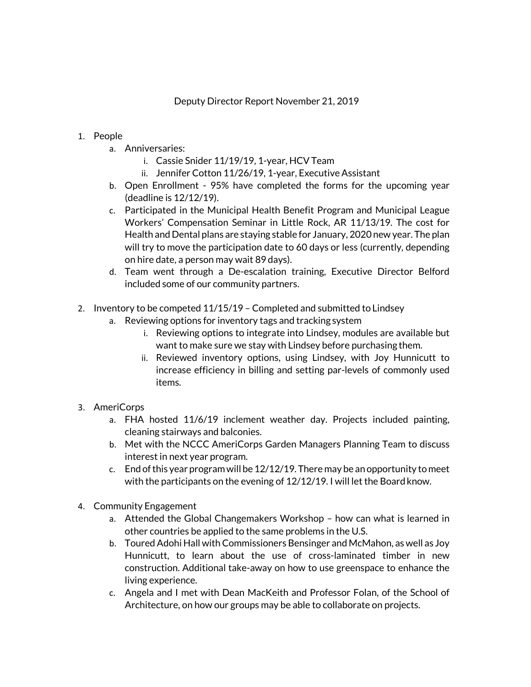- 1. People
	- a. Anniversaries:
		- i. Cassie Snider 11/19/19, 1-year, HCVTeam
		- ii. Jennifer Cotton 11/26/19, 1-year, Executive Assistant
	- b. Open Enrollment 95% have completed the forms for the upcoming year (deadline is 12/12/19).
	- c. Participated in the Municipal Health Benefit Program and Municipal League Workers' Compensation Seminar in Little Rock, AR 11/13/19. The cost for Health and Dental plans are staying stable for January, 2020 new year. The plan will try to move the participation date to 60 days or less (currently, depending on hire date, a person may wait 89 days).
	- d. Team went through a De-escalation training, Executive Director Belford included some of our community partners.
- 2. Inventory to be competed 11/15/19 Completed and submitted to Lindsey
	- a. Reviewing options for inventory tags and tracking system
		- i. Reviewing options to integrate into Lindsey, modules are available but want to make sure we stay with Lindsey before purchasing them.
		- ii. Reviewed inventory options, using Lindsey, with Joy Hunnicutt to increase efficiency in billing and setting par-levels of commonly used items.
- 3. AmeriCorps
	- a. FHA hosted 11/6/19 inclement weather day. Projects included painting, cleaning stairways and balconies.
	- b. Met with the NCCC AmeriCorps Garden Managers Planning Team to discuss interest in next year program.
	- c. End of this year program will be 12/12/19. There may be an opportunity to meet with the participants on the evening of 12/12/19. I will let the Board know.
- 4. Community Engagement
	- a. Attended the Global Changemakers Workshop how can what is learned in other countries be applied to the same problems in the U.S.
	- b. Toured Adohi Hall with Commissioners Bensinger and McMahon, as well as Joy Hunnicutt, to learn about the use of cross-laminated timber in new construction. Additional take-away on how to use greenspace to enhance the living experience.
	- c. Angela and I met with Dean MacKeith and Professor Folan, of the School of Architecture, on how our groups may be able to collaborate on projects.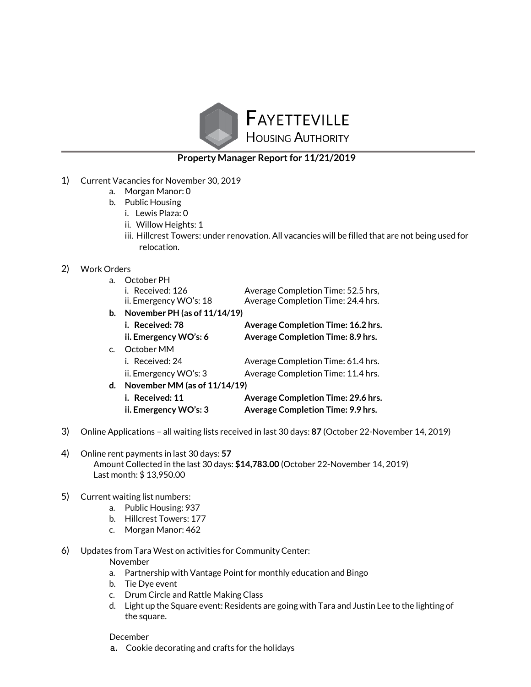

## **Property Manager Report for 11/21/2019**

- 1) Current Vacancies for November 30, 2019
	- a. Morgan Manor: 0
	- b. Public Housing
		- i. Lewis Plaza: 0
		- ii. Willow Heights: 1
		- iii. Hillcrest Towers: under renovation. All vacancies will be filled that are not being used for relocation.

#### 2) Work Orders

| a. | October PH                   |                                          |
|----|------------------------------|------------------------------------------|
|    | i. Received: 126             | Average Completion Time: 52.5 hrs,       |
|    | ii. Emergency WO's: 18       | Average Completion Time: 24.4 hrs.       |
| b. | November PH (as of 11/14/19) |                                          |
|    | i. Received: 78              | Average Completion Time: 16.2 hrs.       |
|    | ii. Emergency WO's: 6        | Average Completion Time: 8.9 hrs.        |
| C. | October MM                   |                                          |
|    | i. Received: 24              | Average Completion Time: 61.4 hrs.       |
|    | ii. Emergency WO's: 3        | Average Completion Time: 11.4 hrs.       |
| d. | November MM (as of 11/14/19) |                                          |
|    | i. Received: 11              | Average Completion Time: 29.6 hrs.       |
|    | ii. Emergency WO's: 3        | <b>Average Completion Time: 9.9 hrs.</b> |
|    |                              |                                          |

- 3) Online Applications all waiting lists received in last 30 days: **87** (October 22-November 14, 2019)
- 4) Online rent payments in last 30 days: **57** Amount Collected in the last 30 days: **\$14,783.00** (October 22-November 14, 2019) Last month: \$ 13,950.00
- 5) Current waiting list numbers:
	- a. Public Housing: 937
	- b. Hillcrest Towers: 177
	- c. Morgan Manor: 462
- 6) Updates from Tara West on activities for CommunityCenter: November
	- a. Partnership with Vantage Point for monthly education and Bingo
	- b. Tie Dye event
	- c. Drum Circle and Rattle Making Class
	- d. Light up the Square event: Residents are going with Tara and Justin Lee to the lighting of the square.

#### December

a. Cookie decorating and crafts for the holidays